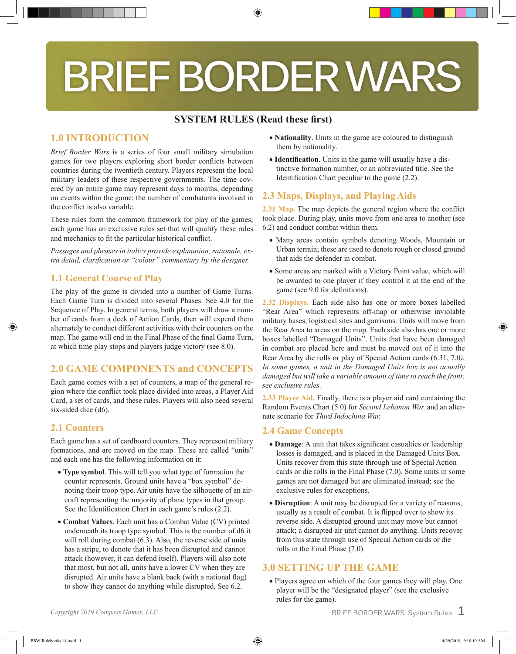# **BRIEF BORDER WARS**

⊕

# **SYSTEM RULES (Read these first)**

# **1.0 INTRODUCTION**

*Brief Border Wars* is a series of four small military simulation games for two players exploring short border conflicts between countries during the twentieth century. Players represent the local military leaders of these respective governments. The time covered by an entire game may represent days to months, depending on events within the game; the number of combatants involved in the conflict is also variable.

These rules form the common framework for play of the games; each game has an exclusive rules set that will qualify these rules and mechanics to fit the particular historical conflict.

*Passages and phrases in italics provide explanation, rationale, extra detail, clarification or "colour" commentary by the designer.*

## **1.1 General Course of Play**

The play of the game is divided into a number of Game Turns. Each Game Turn is divided into several Phases. See 4.0 for the Sequence of Play. In general terms, both players will draw a number of cards from a deck of Action Cards, then will expend them alternately to conduct different activities with their counters on the map. The game will end in the Final Phase of the final Game Turn, at which time play stops and players judge victory (see 8.0).

# **2.0 GAME COMPONENTS and CONCEPTS**

Each game comes with a set of counters, a map of the general region where the conflict took place divided into areas, a Player Aid Card, a set of cards, and these rules. Players will also need several six-sided dice (d6).

# **2.1 Counters**

Each game has a set of cardboard counters. They represent military formations, and are moved on the map. These are called "units" and each one has the following information on it:

- **Type symbol**. This will tell you what type of formation the counter represents. Ground units have a "box symbol" denoting their troop type. Air units have the silhouette of an aircraft representing the majority of plane types in that group. See the Identification Chart in each game's rules (2.2).
- **Combat Values**. Each unit has a Combat Value (CV) printed underneath its troop type symbol. This is the number of d6 it will roll during combat  $(6.3)$ . Also, the reverse side of units has a stripe, to denote that it has been disrupted and cannot attack (however, it can defend itself). Players will also note that most, but not all, units have a lower CV when they are disrupted. Air units have a blank back (with a national flag) to show they cannot do anything while disrupted. See 6.2.
- **Nationality**. Units in the game are coloured to distinguish them by nationality.
- **Identification**. Units in the game will usually have a distinctive formation number, or an abbreviated title. See the Identification Chart peculiar to the game (2.2).

# **2.3 Maps, Displays, and Playing Aids**

**2.31 Map.** The map depicts the general region where the conflict took place. During play, units move from one area to another (see 6.2) and conduct combat within them.

- Many areas contain symbols denoting Woods, Mountain or Urban terrain; these are used to denote rough or closed ground that aids the defender in combat.
- Some areas are marked with a Victory Point value, which will be awarded to one player if they control it at the end of the game (see 9.0 for definitions).

**2.32 Displays.** Each side also has one or more boxes labelled "Rear Area" which represents off-map or otherwise inviolable military bases, logistical sites and garrisons. Units will move from the Rear Area to areas on the map. Each side also has one or more boxes labelled "Damaged Units". Units that have been damaged in combat are placed here and must be moved out of it into the Rear Area by die rolls or play of Special Action cards (6.31, 7.0*). In some games, a unit in the Damaged Units box is not actually damaged but will take a variable amount of time to reach the front; see exclusive rules.*

**2.33 Player Aid**. Finally, there is a player aid card containing the Random Events Chart (5.0) for *Second Lebanon War,* and an alternate scenario for *Third Indochina War.*

# **2.4 Game Concepts**

- **Damage**: A unit that takes significant casualties or leadership losses is damaged, and is placed in the Damaged Units Box. Units recover from this state through use of Special Action cards or die rolls in the Final Phase (7.0). Some units in some games are not damaged but are eliminated instead; see the exclusive rules for exceptions.
- **Disruption**: A unit may be disrupted for a variety of reasons, usually as a result of combat. It is flipped over to show its reverse side. A disrupted ground unit may move but cannot attack; a disrupted air unit cannot do anything. Units recover from this state through use of Special Action cards or die rolls in the Final Phase (7.0).

# **3.0 SETTING UP THE GAME**

• Players agree on which of the four games they will play. One player will be the "designated player" (see the exclusive rules for the game).

*Copyright 2019 Compass Games, LLC* **12.13 and 2019 Compass Games, LLC 12.13 and 2019 Compass Games, LLC**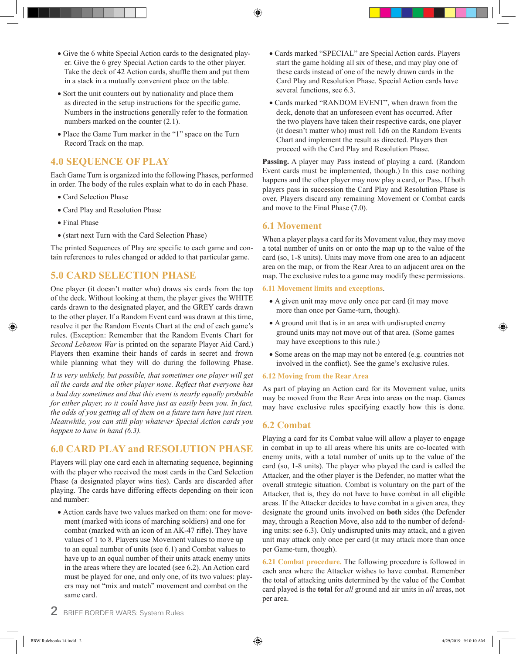- ⊕
- Give the 6 white Special Action cards to the designated player. Give the 6 grey Special Action cards to the other player. Take the deck of 42 Action cards, shuffle them and put them in a stack in a mutually convenient place on the table.
- Sort the unit counters out by nationality and place them as directed in the setup instructions for the specific game. Numbers in the instructions generally refer to the formation numbers marked on the counter (2.1).
- Place the Game Turn marker in the "1" space on the Turn Record Track on the map.

# **4.0 SEQUENCE OF PLAY**

Each Game Turn is organized into the following Phases, performed in order. The body of the rules explain what to do in each Phase.

- Card Selection Phase
- Card Play and Resolution Phase
- Final Phase
- (start next Turn with the Card Selection Phase)

The printed Sequences of Play are specific to each game and contain references to rules changed or added to that particular game.

## **5.0 CARD SELECTION PHASE**

One player (it doesn't matter who) draws six cards from the top of the deck. Without looking at them, the player gives the WHITE cards drawn to the designated player, and the GREY cards drawn to the other player. If a Random Event card was drawn at this time, resolve it per the Random Events Chart at the end of each game's rules. (Exception: Remember that the Random Events Chart for *Second Lebanon War* is printed on the separate Player Aid Card.) Players then examine their hands of cards in secret and frown while planning what they will do during the following Phase.

*It is very unlikely, but possible, that sometimes one player will get all the cards and the other player none. Reflect that everyone has a bad day sometimes and that this event is nearly equally probable for either player, so it could have just as easily been you. In fact, the odds of you getting all of them on a future turn have just risen. Meanwhile, you can still play whatever Special Action cards you happen to have in hand (6.3).*

# **6.0 CARD PLAY and RESOLUTION PHASE**

Players will play one card each in alternating sequence, beginning with the player who received the most cards in the Card Selection Phase (a designated player wins ties). Cards are discarded after playing. The cards have differing effects depending on their icon and number:

• Action cards have two values marked on them: one for movement (marked with icons of marching soldiers) and one for combat (marked with an icon of an AK-47 rifle). They have values of 1 to 8. Players use Movement values to move up to an equal number of units (see 6.1) and Combat values to have up to an equal number of their units attack enemy units in the areas where they are located (see 6.2). An Action card must be played for one, and only one, of its two values: players may not "mix and match" movement and combat on the same card.

- Cards marked "SPECIAL" are Special Action cards. Players start the game holding all six of these, and may play one of these cards instead of one of the newly drawn cards in the Card Play and Resolution Phase. Special Action cards have several functions, see 6.3.
- Cards marked "RANDOM EVENT", when drawn from the deck, denote that an unforeseen event has occurred. After the two players have taken their respective cards, one player (it doesn't matter who) must roll 1d6 on the Random Events Chart and implement the result as directed. Players then proceed with the Card Play and Resolution Phase.

**Passing.** A player may Pass instead of playing a card. (Random Event cards must be implemented, though.) In this case nothing happens and the other player may now play a card, or Pass. If both players pass in succession the Card Play and Resolution Phase is over. Players discard any remaining Movement or Combat cards and move to the Final Phase (7.0).

#### **6.1 Movement**

When a player plays a card for its Movement value, they may move a total number of units on or onto the map up to the value of the card (so, 1-8 units). Units may move from one area to an adjacent area on the map, or from the Rear Area to an adjacent area on the map. The exclusive rules to a game may modify these permissions.

#### **6.11 Movement limits and exceptions**.

- A given unit may move only once per card (it may move more than once per Game-turn, though).
- A ground unit that is in an area with undisrupted enemy ground units may not move out of that area. (Some games may have exceptions to this rule.)
- Some areas on the map may not be entered (e.g. countries not involved in the conflict). See the game's exclusive rules.

#### **6.12 Moving from the Rear Area**

As part of playing an Action card for its Movement value, units may be moved from the Rear Area into areas on the map. Games may have exclusive rules specifying exactly how this is done.

## **6.2 Combat**

Playing a card for its Combat value will allow a player to engage in combat in up to all areas where his units are co-located with enemy units, with a total number of units up to the value of the card (so, 1-8 units). The player who played the card is called the Attacker, and the other player is the Defender, no matter what the overall strategic situation. Combat is voluntary on the part of the Attacker, that is, they do not have to have combat in all eligible areas. If the Attacker decides to have combat in a given area, they designate the ground units involved on **both** sides (the Defender may, through a Reaction Move, also add to the number of defending units: see 6.3). Only undisrupted units may attack, and a given unit may attack only once per card (it may attack more than once per Game-turn, though).

**6.21 Combat procedure.** The following procedure is followed in each area where the Attacker wishes to have combat. Remember the total of attacking units determined by the value of the Combat card played is the **total** for *all* ground and air units in *all* areas, not per area.

**2** BRIEF BORDER WARS: System Rules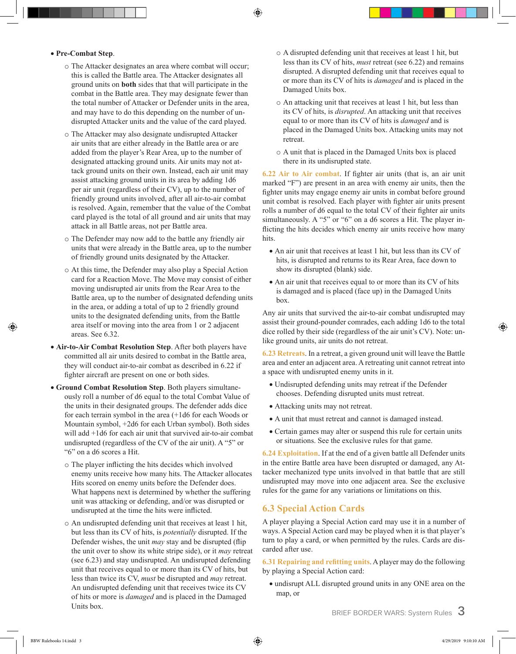⊕

#### • **Pre-Combat Step**.

- o The Attacker designates an area where combat will occur; this is called the Battle area. The Attacker designates all ground units on **both** sides that that will participate in the combat in the Battle area. They may designate fewer than the total number of Attacker or Defender units in the area, and may have to do this depending on the number of undisrupted Attacker units and the value of the card played.
- o The Attacker may also designate undisrupted Attacker air units that are either already in the Battle area or are added from the player's Rear Area, up to the number of designated attacking ground units. Air units may not attack ground units on their own. Instead, each air unit may assist attacking ground units in its area by adding 1d6 per air unit (regardless of their CV), up to the number of friendly ground units involved, after all air-to-air combat is resolved. Again, remember that the value of the Combat card played is the total of all ground and air units that may attack in all Battle areas, not per Battle area.
- o The Defender may now add to the battle any friendly air units that were already in the Battle area, up to the number of friendly ground units designated by the Attacker.
- o At this time, the Defender may also play a Special Action card for a Reaction Move. The Move may consist of either moving undisrupted air units from the Rear Area to the Battle area, up to the number of designated defending units in the area, or adding a total of up to 2 friendly ground units to the designated defending units, from the Battle area itself or moving into the area from 1 or 2 adjacent areas. See 6.32.
- **Air-to-Air Combat Resolution Step**. After both players have committed all air units desired to combat in the Battle area, they will conduct air-to-air combat as described in 6.22 if fighter aircraft are present on one or both sides.
- **Ground Combat Resolution Step**. Both players simultaneously roll a number of d6 equal to the total Combat Value of the units in their designated groups. The defender adds dice for each terrain symbol in the area (+1d6 for each Woods or Mountain symbol, +2d6 for each Urban symbol). Both sides will add +1d6 for each air unit that survived air-to-air combat undisrupted (regardless of the CV of the air unit). A "5" or "6" on a d6 scores a Hit.
	- o The player inflicting the hits decides which involved enemy units receive how many hits. The Attacker allocates Hits scored on enemy units before the Defender does. What happens next is determined by whether the suffering unit was attacking or defending, and/or was disrupted or undisrupted at the time the hits were inflicted.
	- o An undisrupted defending unit that receives at least 1 hit, but less than its CV of hits, is *potentially* disrupted. If the Defender wishes, the unit *may* stay and be disrupted (flip the unit over to show its white stripe side), or it *may* retreat (see 6.23) and stay undisrupted. An undisrupted defending unit that receives equal to or more than its CV of hits, but less than twice its CV, *must* be disrupted and *may* retreat. An undisrupted defending unit that receives twice its CV of hits or more is *damaged* and is placed in the Damaged Units box.
- o A disrupted defending unit that receives at least 1 hit, but less than its CV of hits, *must* retreat (see 6.22) and remains disrupted. A disrupted defending unit that receives equal to or more than its CV of hits is *damaged* and is placed in the Damaged Units box.
- o An attacking unit that receives at least 1 hit, but less than its CV of hits, is *disrupted*. An attacking unit that receives equal to or more than its CV of hits is *damaged* and is placed in the Damaged Units box. Attacking units may not retreat.
- o A unit that is placed in the Damaged Units box is placed there in its undisrupted state.

**6.22 Air to Air combat**. If fighter air units (that is, an air unit marked "F") are present in an area with enemy air units, then the fighter units may engage enemy air units in combat before ground unit combat is resolved. Each player with fighter air units present rolls a number of d6 equal to the total CV of their fighter air units simultaneously. A "5" or "6" on a d6 scores a Hit. The player inflicting the hits decides which enemy air units receive how many hits.

- An air unit that receives at least 1 hit, but less than its CV of hits, is disrupted and returns to its Rear Area, face down to show its disrupted (blank) side.
- An air unit that receives equal to or more than its CV of hits is damaged and is placed (face up) in the Damaged Units box.

Any air units that survived the air-to-air combat undisrupted may assist their ground-pounder comrades, each adding 1d6 to the total dice rolled by their side (regardless of the air unit's CV). Note: unlike ground units, air units do not retreat.

**6.23 Retreats**. In a retreat, a given ground unit will leave the Battle area and enter an adjacent area. A retreating unit cannot retreat into a space with undisrupted enemy units in it.

- Undisrupted defending units may retreat if the Defender chooses. Defending disrupted units must retreat.
- Attacking units may not retreat.
- A unit that must retreat and cannot is damaged instead.
- Certain games may alter or suspend this rule for certain units or situations. See the exclusive rules for that game.

**6.24 Exploitation**. If at the end of a given battle all Defender units in the entire Battle area have been disrupted or damaged, any Attacker mechanized type units involved in that battle that are still undisrupted may move into one adjacent area. See the exclusive rules for the game for any variations or limitations on this.

## **6.3 Special Action Cards**

A player playing a Special Action card may use it in a number of ways. A Special Action card may be played when it is that player's turn to play a card, or when permitted by the rules. Cards are discarded after use.

**6.31 Repairing and refitting units**. A player may do the following by playing a Special Action card:

• undisrupt ALL disrupted ground units in any ONE area on the map, or

BRIEF BORDER WARS: System Rules **3**